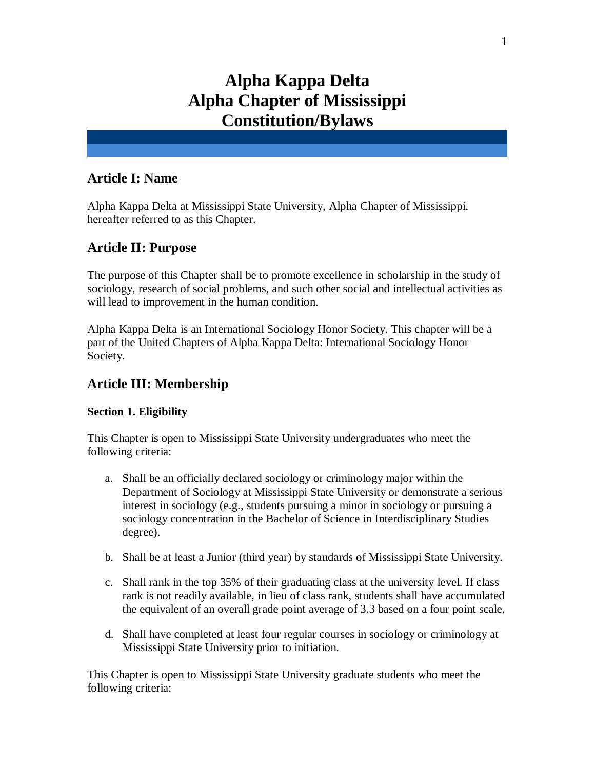# **Alpha Kappa Delta Alpha Chapter of Mississippi Constitution/Bylaws**

# **Article I: Name**

Alpha Kappa Delta at Mississippi State University, Alpha Chapter of Mississippi, hereafter referred to as this Chapter.

# **Article II: Purpose**

The purpose of this Chapter shall be to promote excellence in scholarship in the study of sociology, research of social problems, and such other social and intellectual activities as will lead to improvement in the human condition.

Alpha Kappa Delta is an International Sociology Honor Society. This chapter will be a part of the United Chapters of Alpha Kappa Delta: International Sociology Honor Society.

# **Article III: Membership**

### **Section 1. Eligibility**

This Chapter is open to Mississippi State University undergraduates who meet the following criteria:

- a. Shall be an officially declared sociology or criminology major within the Department of Sociology at Mississippi State University or demonstrate a serious interest in sociology (e.g., students pursuing a minor in sociology or pursuing a sociology concentration in the Bachelor of Science in Interdisciplinary Studies degree).
- b. Shall be at least a Junior (third year) by standards of Mississippi State University.
- c. Shall rank in the top 35% of their graduating class at the university level. If class rank is not readily available, in lieu of class rank, students shall have accumulated the equivalent of an overall grade point average of 3.3 based on a four point scale.
- d. Shall have completed at least four regular courses in sociology or criminology at Mississippi State University prior to initiation.

This Chapter is open to Mississippi State University graduate students who meet the following criteria: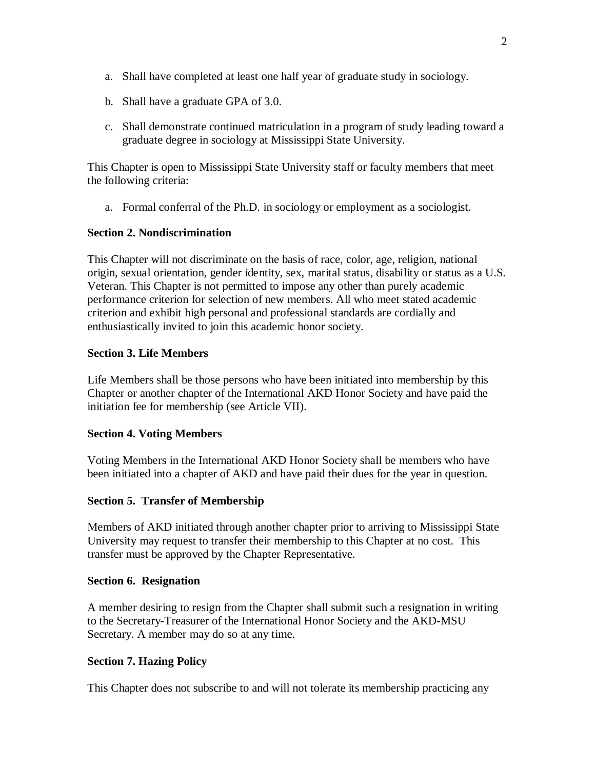- a. Shall have completed at least one half year of graduate study in sociology.
- b. Shall have a graduate GPA of 3.0.
- c. Shall demonstrate continued matriculation in a program of study leading toward a graduate degree in sociology at Mississippi State University.

This Chapter is open to Mississippi State University staff or faculty members that meet the following criteria:

a. Formal conferral of the Ph.D. in sociology or employment as a sociologist.

### **Section 2. Nondiscrimination**

This Chapter will not discriminate on the basis of race, color, age, religion, national origin, sexual orientation, gender identity, sex, marital status, disability or status as a U.S. Veteran. This Chapter is not permitted to impose any other than purely academic performance criterion for selection of new members. All who meet stated academic criterion and exhibit high personal and professional standards are cordially and enthusiastically invited to join this academic honor society.

### **Section 3. Life Members**

Life Members shall be those persons who have been initiated into membership by this Chapter or another chapter of the International AKD Honor Society and have paid the initiation fee for membership (see Article VII).

#### **Section 4. Voting Members**

Voting Members in the International AKD Honor Society shall be members who have been initiated into a chapter of AKD and have paid their dues for the year in question.

#### **Section 5. Transfer of Membership**

Members of AKD initiated through another chapter prior to arriving to Mississippi State University may request to transfer their membership to this Chapter at no cost. This transfer must be approved by the Chapter Representative.

#### **Section 6. Resignation**

A member desiring to resign from the Chapter shall submit such a resignation in writing to the Secretary-Treasurer of the International Honor Society and the AKD-MSU Secretary. A member may do so at any time.

#### **Section 7. Hazing Policy**

This Chapter does not subscribe to and will not tolerate its membership practicing any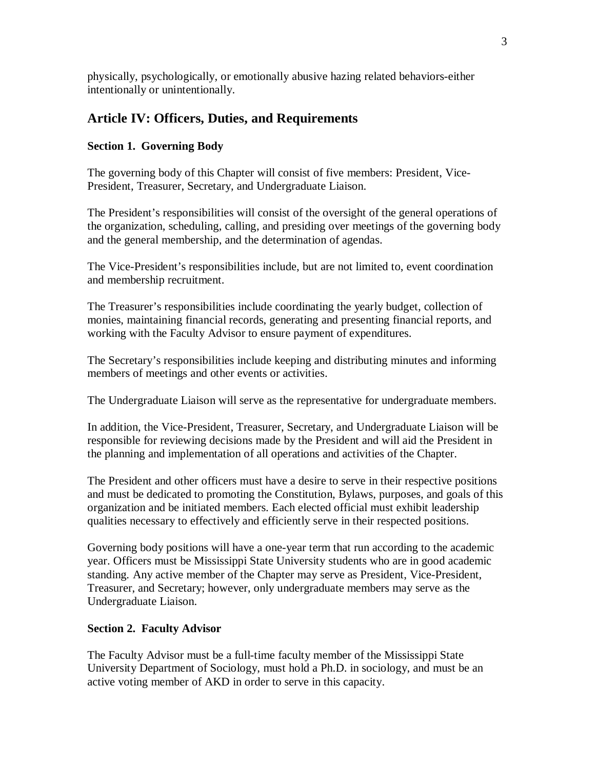physically, psychologically, or emotionally abusive hazing related behaviors-either intentionally or unintentionally.

# **Article IV: Officers, Duties, and Requirements**

#### **Section 1. Governing Body**

The governing body of this Chapter will consist of five members: President, Vice-President, Treasurer, Secretary, and Undergraduate Liaison.

The President's responsibilities will consist of the oversight of the general operations of the organization, scheduling, calling, and presiding over meetings of the governing body and the general membership, and the determination of agendas.

The Vice-President's responsibilities include, but are not limited to, event coordination and membership recruitment.

The Treasurer's responsibilities include coordinating the yearly budget, collection of monies, maintaining financial records, generating and presenting financial reports, and working with the Faculty Advisor to ensure payment of expenditures.

The Secretary's responsibilities include keeping and distributing minutes and informing members of meetings and other events or activities.

The Undergraduate Liaison will serve as the representative for undergraduate members.

In addition, the Vice-President, Treasurer, Secretary, and Undergraduate Liaison will be responsible for reviewing decisions made by the President and will aid the President in the planning and implementation of all operations and activities of the Chapter.

The President and other officers must have a desire to serve in their respective positions and must be dedicated to promoting the Constitution, Bylaws, purposes, and goals of this organization and be initiated members. Each elected official must exhibit leadership qualities necessary to effectively and efficiently serve in their respected positions.

Governing body positions will have a one-year term that run according to the academic year. Officers must be Mississippi State University students who are in good academic standing. Any active member of the Chapter may serve as President, Vice-President, Treasurer, and Secretary; however, only undergraduate members may serve as the Undergraduate Liaison.

#### **Section 2. Faculty Advisor**

The Faculty Advisor must be a full-time faculty member of the Mississippi State University Department of Sociology, must hold a Ph.D. in sociology, and must be an active voting member of AKD in order to serve in this capacity.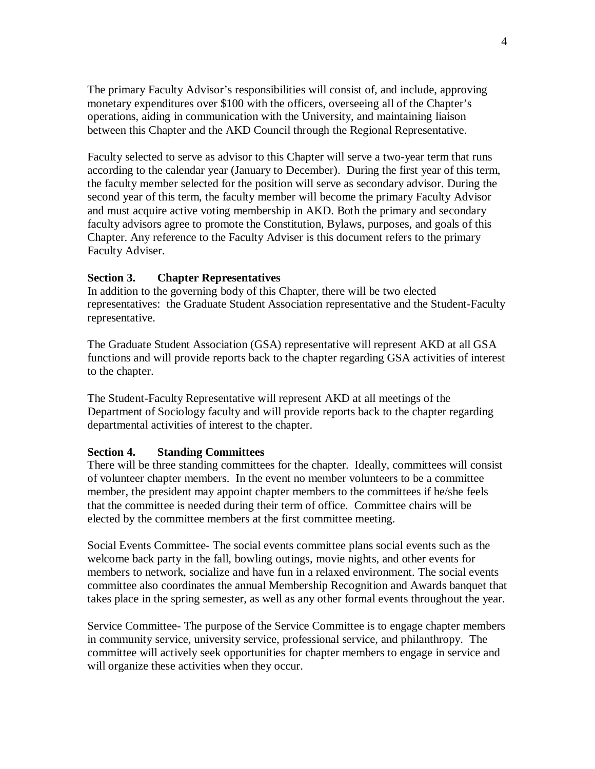The primary Faculty Advisor's responsibilities will consist of, and include, approving monetary expenditures over \$100 with the officers, overseeing all of the Chapter's operations, aiding in communication with the University, and maintaining liaison between this Chapter and the AKD Council through the Regional Representative.

Faculty selected to serve as advisor to this Chapter will serve a two-year term that runs according to the calendar year (January to December). During the first year of this term, the faculty member selected for the position will serve as secondary advisor. During the second year of this term, the faculty member will become the primary Faculty Advisor and must acquire active voting membership in AKD. Both the primary and secondary faculty advisors agree to promote the Constitution, Bylaws, purposes, and goals of this Chapter. Any reference to the Faculty Adviser is this document refers to the primary Faculty Adviser.

#### **Section 3. Chapter Representatives**

In addition to the governing body of this Chapter, there will be two elected representatives: the Graduate Student Association representative and the Student-Faculty representative.

The Graduate Student Association (GSA) representative will represent AKD at all GSA functions and will provide reports back to the chapter regarding GSA activities of interest to the chapter.

The Student-Faculty Representative will represent AKD at all meetings of the Department of Sociology faculty and will provide reports back to the chapter regarding departmental activities of interest to the chapter.

#### **Section 4. Standing Committees**

There will be three standing committees for the chapter. Ideally, committees will consist of volunteer chapter members. In the event no member volunteers to be a committee member, the president may appoint chapter members to the committees if he/she feels that the committee is needed during their term of office. Committee chairs will be elected by the committee members at the first committee meeting.

Social Events Committee- The social events committee plans social events such as the welcome back party in the fall, bowling outings, movie nights, and other events for members to network, socialize and have fun in a relaxed environment. The social events committee also coordinates the annual Membership Recognition and Awards banquet that takes place in the spring semester, as well as any other formal events throughout the year.

Service Committee- The purpose of the Service Committee is to engage chapter members in community service, university service, professional service, and philanthropy. The committee will actively seek opportunities for chapter members to engage in service and will organize these activities when they occur.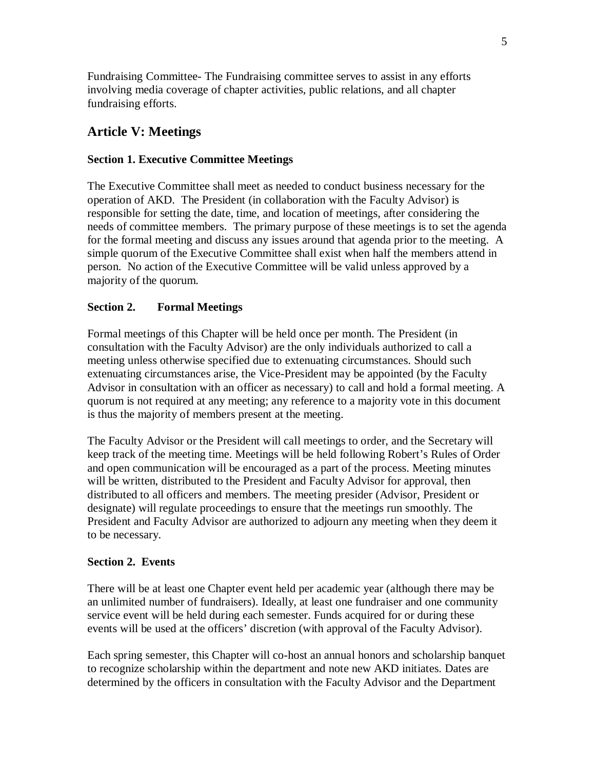Fundraising Committee- The Fundraising committee serves to assist in any efforts involving media coverage of chapter activities, public relations, and all chapter fundraising efforts.

# **Article V: Meetings**

### **Section 1. Executive Committee Meetings**

The Executive Committee shall meet as needed to conduct business necessary for the operation of AKD. The President (in collaboration with the Faculty Advisor) is responsible for setting the date, time, and location of meetings, after considering the needs of committee members. The primary purpose of these meetings is to set the agenda for the formal meeting and discuss any issues around that agenda prior to the meeting. A simple quorum of the Executive Committee shall exist when half the members attend in person. No action of the Executive Committee will be valid unless approved by a majority of the quorum.

### **Section 2. Formal Meetings**

Formal meetings of this Chapter will be held once per month. The President (in consultation with the Faculty Advisor) are the only individuals authorized to call a meeting unless otherwise specified due to extenuating circumstances. Should such extenuating circumstances arise, the Vice-President may be appointed (by the Faculty Advisor in consultation with an officer as necessary) to call and hold a formal meeting. A quorum is not required at any meeting; any reference to a majority vote in this document is thus the majority of members present at the meeting.

The Faculty Advisor or the President will call meetings to order, and the Secretary will keep track of the meeting time. Meetings will be held following Robert's Rules of Order and open communication will be encouraged as a part of the process. Meeting minutes will be written, distributed to the President and Faculty Advisor for approval, then distributed to all officers and members. The meeting presider (Advisor, President or designate) will regulate proceedings to ensure that the meetings run smoothly. The President and Faculty Advisor are authorized to adjourn any meeting when they deem it to be necessary.

#### **Section 2. Events**

There will be at least one Chapter event held per academic year (although there may be an unlimited number of fundraisers). Ideally, at least one fundraiser and one community service event will be held during each semester. Funds acquired for or during these events will be used at the officers' discretion (with approval of the Faculty Advisor).

Each spring semester, this Chapter will co-host an annual honors and scholarship banquet to recognize scholarship within the department and note new AKD initiates. Dates are determined by the officers in consultation with the Faculty Advisor and the Department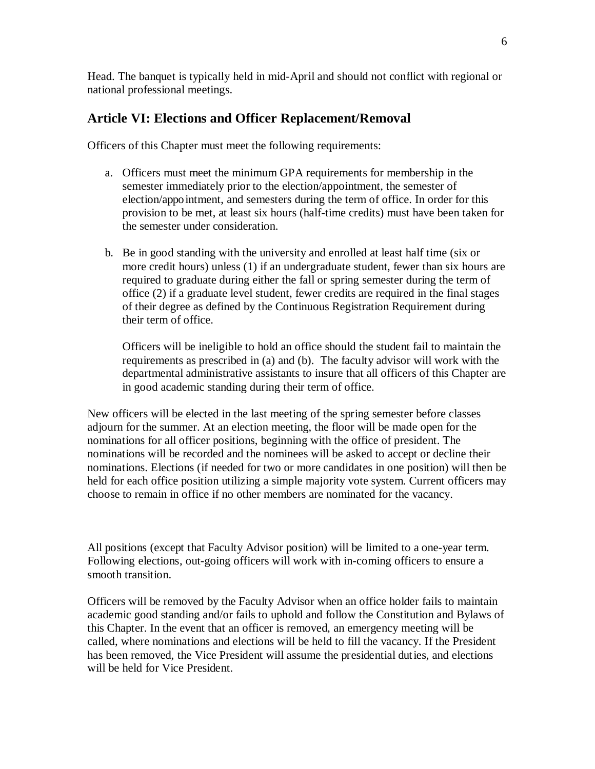Head. The banquet is typically held in mid-April and should not conflict with regional or national professional meetings.

# **Article VI: Elections and Officer Replacement/Removal**

Officers of this Chapter must meet the following requirements:

- a. Officers must meet the minimum GPA requirements for membership in the semester immediately prior to the election/appointment, the semester of election/appointment, and semesters during the term of office. In order for this provision to be met, at least six hours (half-time credits) must have been taken for the semester under consideration.
- b. Be in good standing with the university and enrolled at least half time (six or more credit hours) unless (1) if an undergraduate student, fewer than six hours are required to graduate during either the fall or spring semester during the term of office (2) if a graduate level student, fewer credits are required in the final stages of their degree as defined by the Continuous Registration Requirement during their term of office.

Officers will be ineligible to hold an office should the student fail to maintain the requirements as prescribed in (a) and (b). The faculty advisor will work with the departmental administrative assistants to insure that all officers of this Chapter are in good academic standing during their term of office.

New officers will be elected in the last meeting of the spring semester before classes adjourn for the summer. At an election meeting, the floor will be made open for the nominations for all officer positions, beginning with the office of president. The nominations will be recorded and the nominees will be asked to accept or decline their nominations. Elections (if needed for two or more candidates in one position) will then be held for each office position utilizing a simple majority vote system. Current officers may choose to remain in office if no other members are nominated for the vacancy.

All positions (except that Faculty Advisor position) will be limited to a one-year term. Following elections, out-going officers will work with in-coming officers to ensure a smooth transition.

Officers will be removed by the Faculty Advisor when an office holder fails to maintain academic good standing and/or fails to uphold and follow the Constitution and Bylaws of this Chapter. In the event that an officer is removed, an emergency meeting will be called, where nominations and elections will be held to fill the vacancy. If the President has been removed, the Vice President will assume the presidential duties, and elections will be held for Vice President.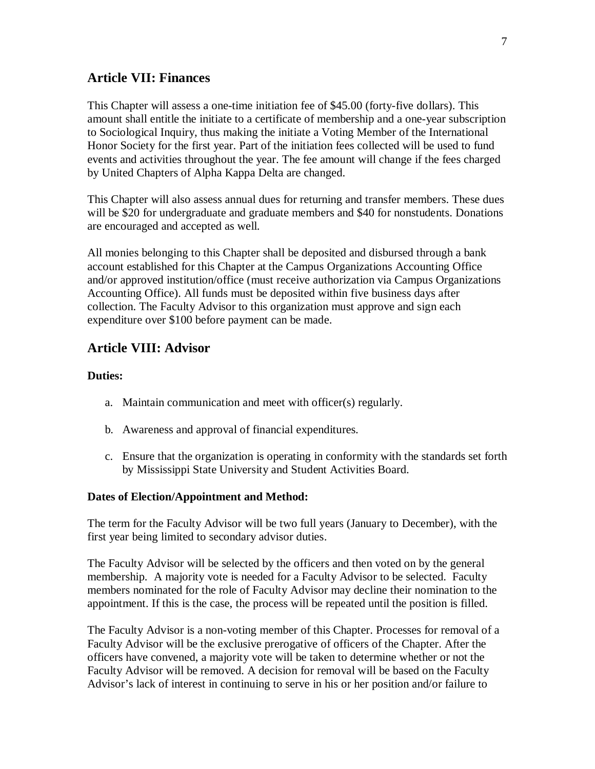## **Article VII: Finances**

This Chapter will assess a one-time initiation fee of \$45.00 (forty-five dollars). This amount shall entitle the initiate to a certificate of membership and a one-year subscription to Sociological Inquiry, thus making the initiate a Voting Member of the International Honor Society for the first year. Part of the initiation fees collected will be used to fund events and activities throughout the year. The fee amount will change if the fees charged by United Chapters of Alpha Kappa Delta are changed.

This Chapter will also assess annual dues for returning and transfer members. These dues will be \$20 for undergraduate and graduate members and \$40 for nonstudents. Donations are encouraged and accepted as well.

All monies belonging to this Chapter shall be deposited and disbursed through a bank account established for this Chapter at the Campus Organizations Accounting Office and/or approved institution/office (must receive authorization via Campus Organizations Accounting Office). All funds must be deposited within five business days after collection. The Faculty Advisor to this organization must approve and sign each expenditure over \$100 before payment can be made.

# **Article VIII: Advisor**

#### **Duties:**

- a. Maintain communication and meet with officer(s) regularly.
- b. Awareness and approval of financial expenditures.
- c. Ensure that the organization is operating in conformity with the standards set forth by Mississippi State University and Student Activities Board.

#### **Dates of Election/Appointment and Method:**

The term for the Faculty Advisor will be two full years (January to December), with the first year being limited to secondary advisor duties.

The Faculty Advisor will be selected by the officers and then voted on by the general membership. A majority vote is needed for a Faculty Advisor to be selected. Faculty members nominated for the role of Faculty Advisor may decline their nomination to the appointment. If this is the case, the process will be repeated until the position is filled.

The Faculty Advisor is a non-voting member of this Chapter. Processes for removal of a Faculty Advisor will be the exclusive prerogative of officers of the Chapter. After the officers have convened, a majority vote will be taken to determine whether or not the Faculty Advisor will be removed. A decision for removal will be based on the Faculty Advisor's lack of interest in continuing to serve in his or her position and/or failure to